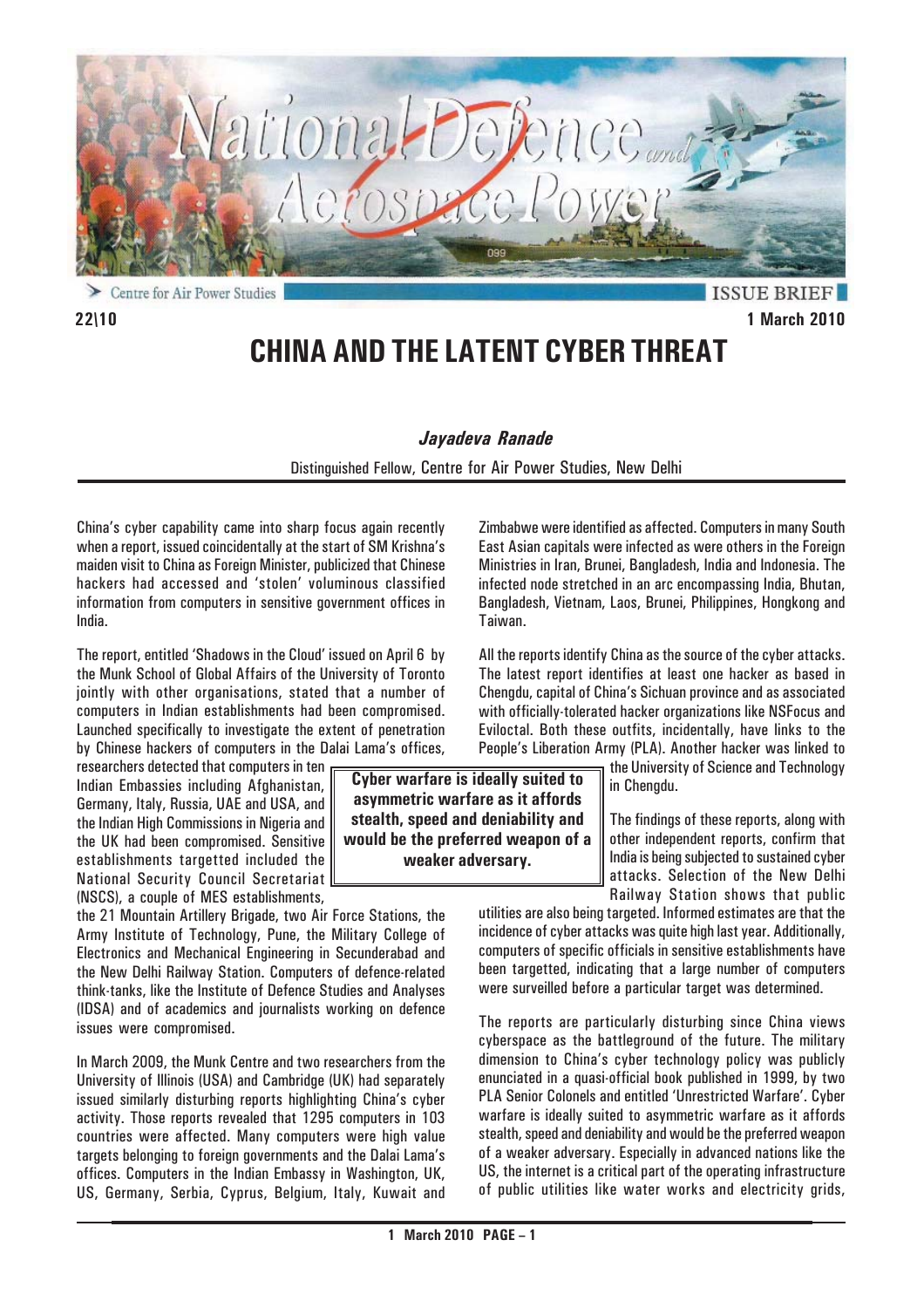

**ISSUE BRIEF 22\10 1 March 2010**

# **CHINA AND THE LATENT CYBER THREAT**

#### *Jayadeva Ranade*

Distinguished Fellow, Centre for Air Power Studies, New Delhi

China's cyber capability came into sharp focus again recently when a report, issued coincidentally at the start of SM Krishna's maiden visit to China as Foreign Minister, publicized that Chinese hackers had accessed and 'stolen' voluminous classified information from computers in sensitive government offices in India.

The report, entitled 'Shadows in the Cloud' issued on April 6 by the Munk School of Global Affairs of the University of Toronto jointly with other organisations, stated that a number of computers in Indian establishments had been compromised. Launched specifically to investigate the extent of penetration by Chinese hackers of computers in the Dalai Lama's offices,

researchers detected that computers in ten Indian Embassies including Afghanistan, Germany, Italy, Russia, UAE and USA, and the Indian High Commissions in Nigeria and the UK had been compromised. Sensitive establishments targetted included the National Security Council Secretariat (NSCS), a couple of MES establishments,

the 21 Mountain Artillery Brigade, two Air Force Stations, the Army Institute of Technology, Pune, the Military College of Electronics and Mechanical Engineering in Secunderabad and the New Delhi Railway Station. Computers of defence-related think-tanks, like the Institute of Defence Studies and Analyses (IDSA) and of academics and journalists working on defence issues were compromised.

In March 2009, the Munk Centre and two researchers from the University of Illinois (USA) and Cambridge (UK) had separately issued similarly disturbing reports highlighting China's cyber activity. Those reports revealed that 1295 computers in 103 countries were affected. Many computers were high value targets belonging to foreign governments and the Dalai Lama's offices. Computers in the Indian Embassy in Washington, UK, US, Germany, Serbia, Cyprus, Belgium, Italy, Kuwait and

Zimbabwe were identified as affected. Computers in many South East Asian capitals were infected as were others in the Foreign Ministries in Iran, Brunei, Bangladesh, India and Indonesia. The infected node stretched in an arc encompassing India, Bhutan, Bangladesh, Vietnam, Laos, Brunei, Philippines, Hongkong and Taiwan.

All the reports identify China as the source of the cyber attacks. The latest report identifies at least one hacker as based in Chengdu, capital of China's Sichuan province and as associated with officially-tolerated hacker organizations like NSFocus and Eviloctal. Both these outfits, incidentally, have links to the People's Liberation Army (PLA). Another hacker was linked to

the University of Science and Technology in Chengdu.

The findings of these reports, along with other independent reports, confirm that India is being subjected to sustained cyber attacks. Selection of the New Delhi Railway Station shows that public

utilities are also being targeted. Informed estimates are that the incidence of cyber attacks was quite high last year. Additionally, computers of specific officials in sensitive establishments have been targetted, indicating that a large number of computers were surveilled before a particular target was determined.

The reports are particularly disturbing since China views cyberspace as the battleground of the future. The military dimension to China's cyber technology policy was publicly enunciated in a quasi-official book published in 1999, by two PLA Senior Colonels and entitled 'Unrestricted Warfare'. Cyber warfare is ideally suited to asymmetric warfare as it affords stealth, speed and deniability and would be the preferred weapon of a weaker adversary. Especially in advanced nations like the US, the internet is a critical part of the operating infrastructure of public utilities like water works and electricity grids,

**Cyber warfare is ideally suited to asymmetric warfare as it affords stealth, speed and deniability and would be the preferred weapon of a weaker adversary.**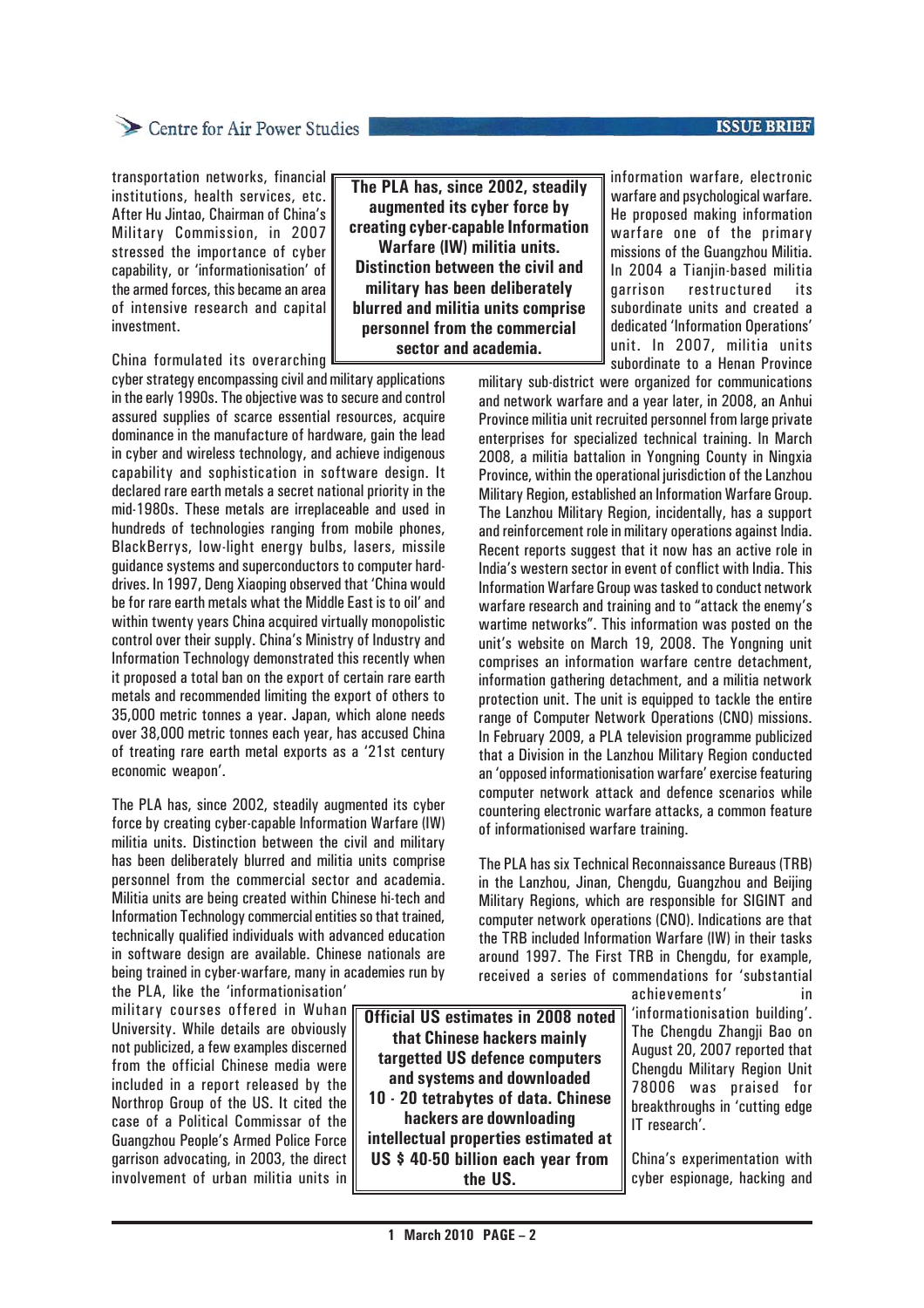#### **ISSUE BRIEF**

transportation networks, financial institutions, health services, etc. After Hu Jintao, Chairman of China's Military Commission, in 2007 stressed the importance of cyber capability, or 'informationisation' of the armed forces, this became an area of intensive research and capital investment.

China formulated its overarching

cyber strategy encompassing civil and military applications in the early 1990s. The objective was to secure and control assured supplies of scarce essential resources, acquire dominance in the manufacture of hardware, gain the lead in cyber and wireless technology, and achieve indigenous capability and sophistication in software design. It declared rare earth metals a secret national priority in the mid-1980s. These metals are irreplaceable and used in hundreds of technologies ranging from mobile phones, BlackBerrys, low-light energy bulbs, lasers, missile guidance systems and superconductors to computer harddrives. In 1997, Deng Xiaoping observed that 'China would be for rare earth metals what the Middle East is to oil' and within twenty years China acquired virtually monopolistic control over their supply. China's Ministry of Industry and Information Technology demonstrated this recently when it proposed a total ban on the export of certain rare earth metals and recommended limiting the export of others to 35,000 metric tonnes a year. Japan, which alone needs over 38,000 metric tonnes each year, has accused China of treating rare earth metal exports as a '21st century economic weapon'.

The PLA has, since 2002, steadily augmented its cyber force by creating cyber-capable Information Warfare (IW) militia units. Distinction between the civil and military has been deliberately blurred and militia units comprise personnel from the commercial sector and academia. Militia units are being created within Chinese hi-tech and Information Technology commercial entities so that trained, technically qualified individuals with advanced education in software design are available. Chinese nationals are being trained in cyber-warfare, many in academies run by the PLA, like the 'informationisation'

military courses offered in Wuhan University. While details are obviously not publicized, a few examples discerned from the official Chinese media were included in a report released by the Northrop Group of the US. It cited the case of a Political Commissar of the Guangzhou People's Armed Police Force garrison advocating, in 2003, the direct involvement of urban militia units in

**The PLA has, since 2002, steadily augmented its cyber force by creating cyber-capable Information Warfare (IW) militia units. Distinction between the civil and military has been deliberately blurred and militia units comprise personnel from the commercial sector and academia.**

information warfare, electronic warfare and psychological warfare. He proposed making information warfare one of the primary missions of the Guangzhou Militia. In 2004 a Tianjin-based militia restructured its subordinate units and created a dedicated 'Information Operations' unit. In 2007, militia units subordinate to a Henan Province

military sub-district were organized for communications and network warfare and a year later, in 2008, an Anhui Province militia unit recruited personnel from large private enterprises for specialized technical training. In March 2008, a militia battalion in Yongning County in Ningxia Province, within the operational jurisdiction of the Lanzhou Military Region, established an Information Warfare Group. The Lanzhou Military Region, incidentally, has a support and reinforcement role in military operations against India. Recent reports suggest that it now has an active role in India's western sector in event of conflict with India. This Information Warfare Group was tasked to conduct network warfare research and training and to "attack the enemy's wartime networks". This information was posted on the unit's website on March 19, 2008. The Yongning unit comprises an information warfare centre detachment, information gathering detachment, and a militia network protection unit. The unit is equipped to tackle the entire range of Computer Network Operations (CNO) missions. In February 2009, a PLA television programme publicized that a Division in the Lanzhou Military Region conducted an 'opposed informationisation warfare' exercise featuring computer network attack and defence scenarios while countering electronic warfare attacks, a common feature of informationised warfare training.

The PLA has six Technical Reconnaissance Bureaus (TRB) in the Lanzhou, Jinan, Chengdu, Guangzhou and Beijing Military Regions, which are responsible for SIGINT and computer network operations (CNO). Indications are that the TRB included Information Warfare (IW) in their tasks around 1997. The First TRB in Chengdu, for example, received a series of commendations for 'substantial

**Official US estimates in 2008 noted that Chinese hackers mainly targetted US defence computers and systems and downloaded 10 - 20 tetrabytes of data. Chinese hackers are downloading intellectual properties estimated at US \$ 40-50 billion each year from the US.**

achievements' in 'informationisation building'. The Chengdu Zhangji Bao on August 20, 2007 reported that Chengdu Military Region Unit 78006 was praised for breakthroughs in 'cutting edge IT research'.

China's experimentation with cyber espionage, hacking and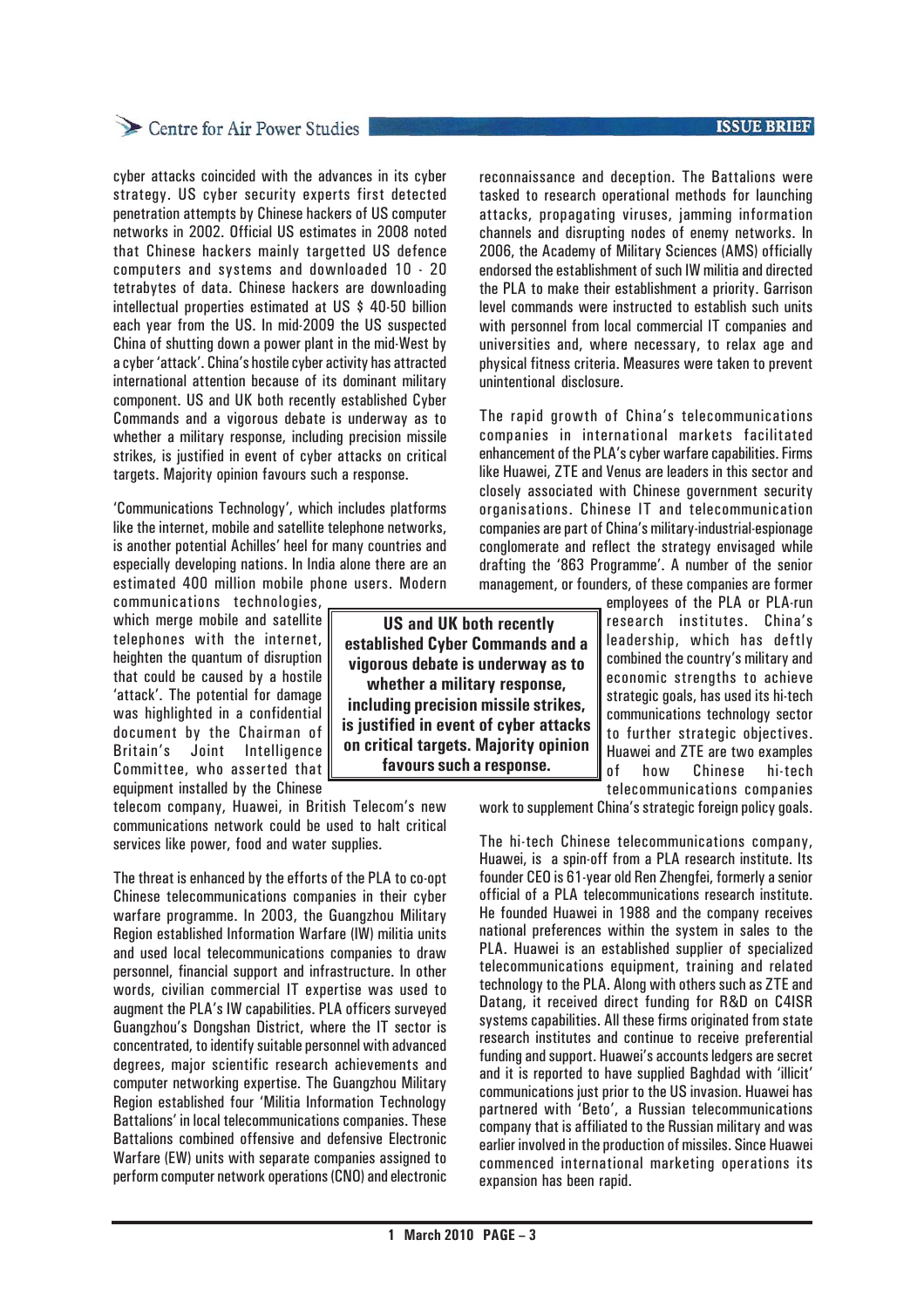## Centre for Air Power Studies

cyber attacks coincided with the advances in its cyber strategy. US cyber security experts first detected penetration attempts by Chinese hackers of US computer networks in 2002. Official US estimates in 2008 noted that Chinese hackers mainly targetted US defence computers and systems and downloaded 10 - 20 tetrabytes of data. Chinese hackers are downloading intellectual properties estimated at US \$ 40-50 billion each year from the US. In mid-2009 the US suspected China of shutting down a power plant in the mid-West by a cyber 'attack'. China's hostile cyber activity has attracted international attention because of its dominant military component. US and UK both recently established Cyber Commands and a vigorous debate is underway as to whether a military response, including precision missile strikes, is justified in event of cyber attacks on critical targets. Majority opinion favours such a response.

'Communications Technology', which includes platforms like the internet, mobile and satellite telephone networks, is another potential Achilles' heel for many countries and especially developing nations. In India alone there are an estimated 400 million mobile phone users. Modern

communications technologies, which merge mobile and satellite telephones with the internet, heighten the quantum of disruption that could be caused by a hostile 'attack'. The potential for damage was highlighted in a confidential document by the Chairman of Britain's Joint Intelligence Committee, who asserted that equipment installed by the Chinese

telecom company, Huawei, in British Telecom's new communications network could be used to halt critical services like power, food and water supplies.

The threat is enhanced by the efforts of the PLA to co-opt Chinese telecommunications companies in their cyber warfare programme. In 2003, the Guangzhou Military Region established Information Warfare (IW) militia units and used local telecommunications companies to draw personnel, financial support and infrastructure. In other words, civilian commercial IT expertise was used to augment the PLA's IW capabilities. PLA officers surveyed Guangzhou's Dongshan District, where the IT sector is concentrated, to identify suitable personnel with advanced degrees, major scientific research achievements and computer networking expertise. The Guangzhou Military Region established four 'Militia Information Technology Battalions' in local telecommunications companies. These Battalions combined offensive and defensive Electronic Warfare (EW) units with separate companies assigned to perform computer network operations (CNO) and electronic

 **US and UK both recently established Cyber Commands and a vigorous debate is underway as to whether a military response, including precision missile strikes, is justified in event of cyber attacks on critical targets. Majority opinion favours such a response.**

**ISSUE BRIEF** 

reconnaissance and deception. The Battalions were tasked to research operational methods for launching attacks, propagating viruses, jamming information channels and disrupting nodes of enemy networks. In 2006, the Academy of Military Sciences (AMS) officially endorsed the establishment of such IW militia and directed the PLA to make their establishment a priority. Garrison level commands were instructed to establish such units with personnel from local commercial IT companies and universities and, where necessary, to relax age and physical fitness criteria. Measures were taken to prevent unintentional disclosure.

The rapid growth of China's telecommunications companies in international markets facilitated enhancement of the PLA's cyber warfare capabilities. Firms like Huawei, ZTE and Venus are leaders in this sector and closely associated with Chinese government security organisations. Chinese IT and telecommunication companies are part of China's military-industrial-espionage conglomerate and reflect the strategy envisaged while drafting the '863 Programme'. A number of the senior management, or founders, of these companies are former

> employees of the PLA or PLA-run research institutes. China's leadership, which has deftly combined the country's military and economic strengths to achieve strategic goals, has used its hi-tech communications technology sector to further strategic objectives. Huawei and ZTE are two examples of how Chinese hi-tech telecommunications companies

work to supplement China's strategic foreign policy goals.

The hi-tech Chinese telecommunications company, Huawei, is a spin-off from a PLA research institute. Its founder CEO is 61-year old Ren Zhengfei, formerly a senior official of a PLA telecommunications research institute. He founded Huawei in 1988 and the company receives national preferences within the system in sales to the PLA. Huawei is an established supplier of specialized telecommunications equipment, training and related technology to the PLA. Along with others such as ZTE and Datang, it received direct funding for R&D on C4ISR systems capabilities. All these firms originated from state research institutes and continue to receive preferential funding and support. Huawei's accounts ledgers are secret and it is reported to have supplied Baghdad with 'illicit' communications just prior to the US invasion. Huawei has partnered with 'Beto', a Russian telecommunications company that is affiliated to the Russian military and was earlier involved in the production of missiles. Since Huawei commenced international marketing operations its expansion has been rapid.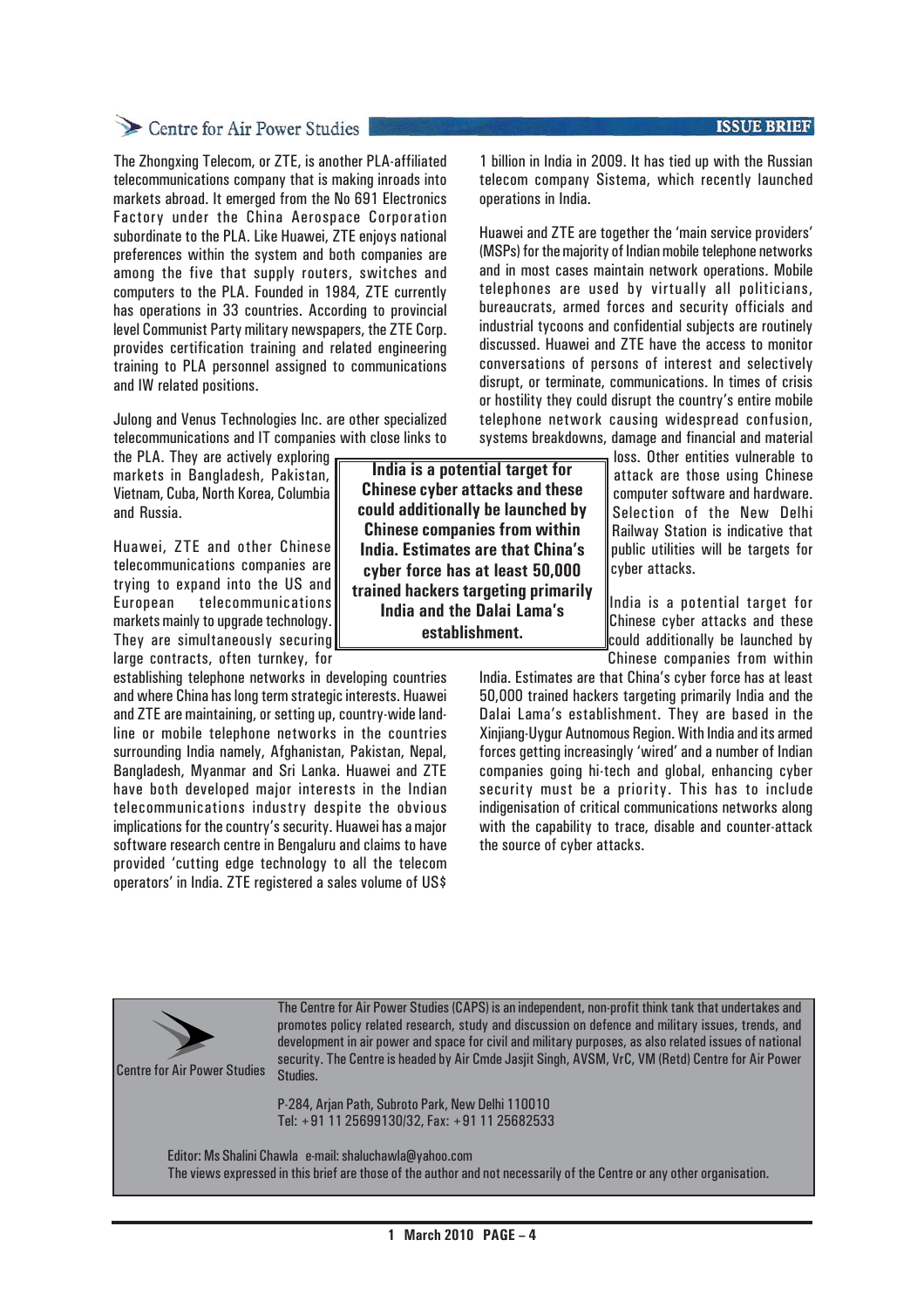#### **ISSUE BRIEF**

## Centre for Air Power Studies

The Zhongxing Telecom, or ZTE, is another PLA-affiliated telecommunications company that is making inroads into markets abroad. It emerged from the No 691 Electronics Factory under the China Aerospace Corporation subordinate to the PLA. Like Huawei, ZTE enjoys national preferences within the system and both companies are among the five that supply routers, switches and computers to the PLA. Founded in 1984, ZTE currently has operations in 33 countries. According to provincial level Communist Party military newspapers, the ZTE Corp. provides certification training and related engineering training to PLA personnel assigned to communications and IW related positions.

Julong and Venus Technologies Inc. are other specialized telecommunications and IT companies with close links to

the PLA. They are actively exploring markets in Bangladesh, Pakistan, Vietnam, Cuba, North Korea, Columbia and Russia.

Huawei, ZTE and other Chinese telecommunications companies are trying to expand into the US and European telecommunications markets mainly to upgrade technology. They are simultaneously securing large contracts, often turnkey, for

establishing telephone networks in developing countries and where China has long term strategic interests. Huawei and ZTE are maintaining, or setting up, country-wide landline or mobile telephone networks in the countries surrounding India namely, Afghanistan, Pakistan, Nepal, Bangladesh, Myanmar and Sri Lanka. Huawei and ZTE have both developed major interests in the Indian telecommunications industry despite the obvious implications for the country's security. Huawei has a major software research centre in Bengaluru and claims to have provided 'cutting edge technology to all the telecom operators' in India. ZTE registered a sales volume of US\$

**India is a potential target for Chinese cyber attacks and these could additionally be launched by Chinese companies from within India. Estimates are that China's cyber force has at least 50,000 trained hackers targeting primarily India and the Dalai Lama's establishment.**

1 billion in India in 2009. It has tied up with the Russian telecom company Sistema, which recently launched operations in India.

Huawei and ZTE are together the 'main service providers' (MSPs) for the majority of Indian mobile telephone networks and in most cases maintain network operations. Mobile telephones are used by virtually all politicians, bureaucrats, armed forces and security officials and industrial tycoons and confidential subjects are routinely discussed. Huawei and ZTE have the access to monitor conversations of persons of interest and selectively disrupt, or terminate, communications. In times of crisis or hostility they could disrupt the country's entire mobile telephone network causing widespread confusion, systems breakdowns, damage and financial and material

> loss. Other entities vulnerable to attack are those using Chinese computer software and hardware. Selection of the New Delhi Railway Station is indicative that public utilities will be targets for cyber attacks.

India is a potential target for Chinese cyber attacks and these could additionally be launched by Chinese companies from within

India. Estimates are that China's cyber force has at least 50,000 trained hackers targeting primarily India and the Dalai Lama's establishment. They are based in the Xinjiang-Uygur Autnomous Region. With India and its armed forces getting increasingly 'wired' and a number of Indian companies going hi-tech and global, enhancing cyber security must be a priority. This has to include indigenisation of critical communications networks along with the capability to trace, disable and counter-attack the source of cyber attacks.

Centre for Air Power Studies

The Centre for Air Power Studies (CAPS) is an independent, non-profit think tank that undertakes and promotes policy related research, study and discussion on defence and military issues, trends, and development in air power and space for civil and military purposes, as also related issues of national security. The Centre is headed by Air Cmde Jasjit Singh, AVSM, VrC, VM (Retd) Centre for Air Power Studies.

P-284, Arjan Path, Subroto Park, New Delhi 110010 Tel: +91 11 25699130/32, Fax: +91 11 25682533

Editor: Ms Shalini Chawla e-mail: shaluchawla@yahoo.com The views expressed in this brief are those of the author and not necessarily of the Centre or any other organisation.